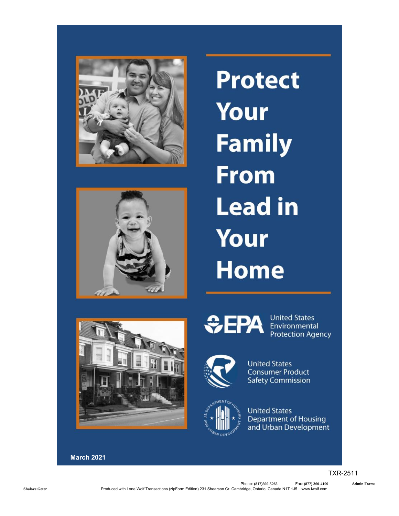



**Protect Your Family From Lead in** Your **Home** 



 $EPA$ 



**United States Department of Housing** and Urban Development

**United States Consumer Product Safety Commission** 

**United States** 

Environmental **Protection Agency** 

March 2021

TXR-2511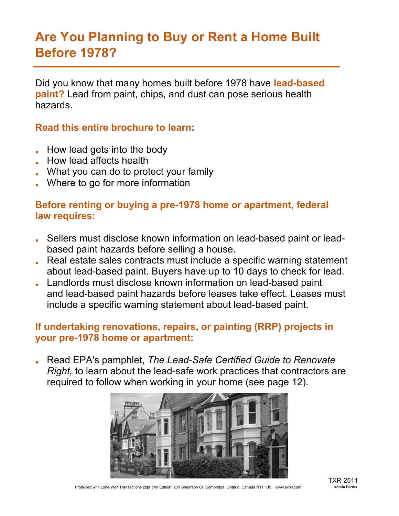### Are You Planning to Buy or Rent a Home Built Before 1978?

Did you know that many homes built before 1978 have lead-based paint? Lead from paint, chips, and dust can pose serious health hazards.

Read this entire brochure to learn:

- $\bullet$  How lead gets into the body
- **.** How lead affects health
- What you can do to protect your family
- Where to go for more information

#### Before renting or buying a pre-1978 home or apartment, federal law requires:

- Sellers must disclose known information on lead-based paint or leadbased paint hazards before selling a house.
- Real estate sales contracts must include a specific warning statement about lead-based paint. Buyers have up to 10 days to check for lead.
- . Landlords must disclose known information on lead-based paint and lead-based paint hazards before leases take effect. Leases must include a specific warning statement about lead-based paint.

#### If undertaking renovations, repairs, or painting (RRP) projects in your pre-1978 home or apartment:

● Read EPA's pamphlet, *The Lead-Safe Certified Guide to Renovate Right,* to learn about the lead-safe work practices that contractors are required to follow when working in your home (see page 12).



Produced with Lone Wolf Transactions (zipForm Edition) 231 Shearson Cr. Cambridge, Ontario, Canada N1T 1J5 www.lwolf.com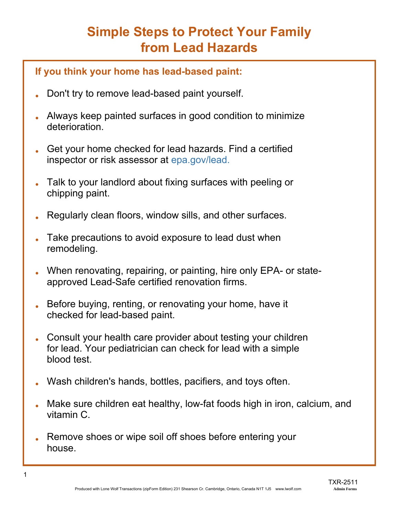# Simple Steps to Protect Your Family from Lead Hazards

#### If you think your home has lead-based paint:

- Don't try to remove lead-based paint yourself.
- . Always keep painted surfaces in good condition to minimize deterioration.
- Get your home checked for lead hazards. Find a certified inspector or risk assessor at epa.gov/lead.
- . Talk to your landlord about fixing surfaces with peeling or chipping paint.
- Regularly clean floors, window sills, and other surfaces.
- Take precautions to avoid exposure to lead dust when remodeling.
- When renovating, repairing, or painting, hire only EPA- or stateapproved Lead-Safe certified renovation firms.
- Before buying, renting, or renovating your home, have it checked for lead-based paint.
- Consult your health care provider about testing your children for lead. Your pediatrician can check for lead with a simple blood test.
- Wash children's hands, bottles, pacifiers, and toys often.
- Make sure children eat healthy, low-fat foods high in iron, calcium, and vitamin C.
- Remove shoes or wipe soil off shoes before entering your house.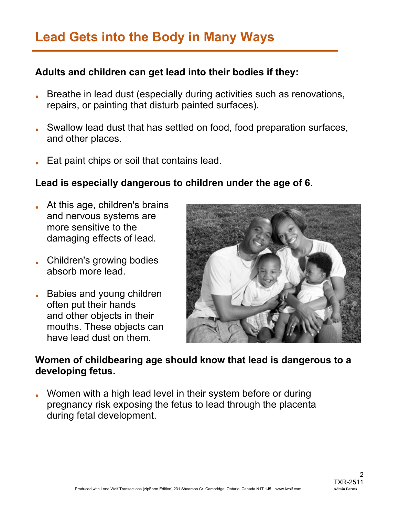# Lead Gets into the Body in Many Ways

#### Adults and children can get lead into their bodies if they:

- Breathe in lead dust (especially during activities such as renovations, repairs, or painting that disturb painted surfaces).
- Swallow lead dust that has settled on food, food preparation surfaces, and other places.
- Eat paint chips or soil that contains lead.

#### Lead is especially dangerous to children under the age of 6.

- At this age, children's brains and nervous systems are more sensitive to the damaging effects of lead.
- . Children's growing bodies absorb more lead.
- Babies and young children often put their hands and other objects in their mouths. These objects can have lead dust on them.



#### Women of childbearing age should know that lead is dangerous to a developing fetus.

. Women with a high lead level in their system before or during pregnancy risk exposing the fetus to lead through the placenta during fetal development.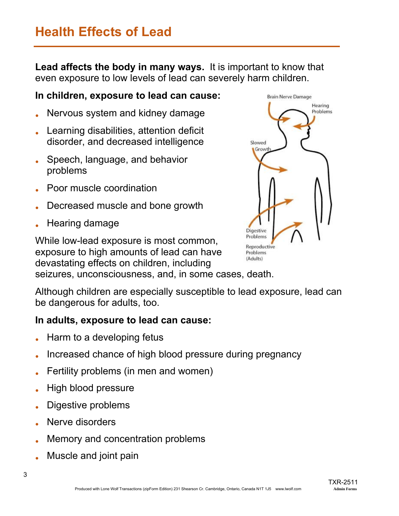## Health Effects of Lead

Lead affects the body in many ways. It is important to know that even exposure to low levels of lead can severely harm children.

#### In children, exposure to lead can cause:

- Nervous system and kidney damage
- Learning disabilities, attention deficit disorder, and decreased intelligence
- Speech, language, and behavior problems
- Poor muscle coordination
- Decreased muscle and bone growth
- Hearing damage

While low-lead exposure is most common, exposure to high amounts of lead can have devastating effects on children, including seizures, unconsciousness, and, in some cases, death.



Although children are especially susceptible to lead exposure, lead can be dangerous for adults, too.

#### In adults, exposure to lead can cause:

- Harm to a developing fetus
- Increased chance of high blood pressure during pregnancy
- Fertility problems (in men and women)
- **High blood pressure**
- Digestive problems
- Nerve disorders
- Memory and concentration problems
- Muscle and joint pain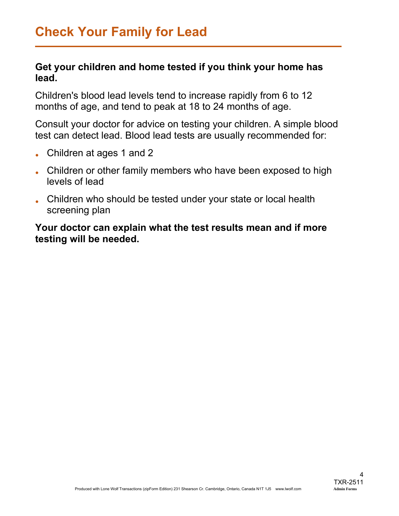#### Get your children and home tested if you think your home has lead.

Children's blood lead levels tend to increase rapidly from 6 to 12 months of age, and tend to peak at 18 to 24 months of age.

Consult your doctor for advice on testing your children. A simple blood test can detect lead. Blood lead tests are usually recommended for:

- Children at ages 1 and 2
- Children or other family members who have been exposed to high levels of lead
- Children who should be tested under your state or local health screening plan

Your doctor can explain what the test results mean and if more testing will be needed.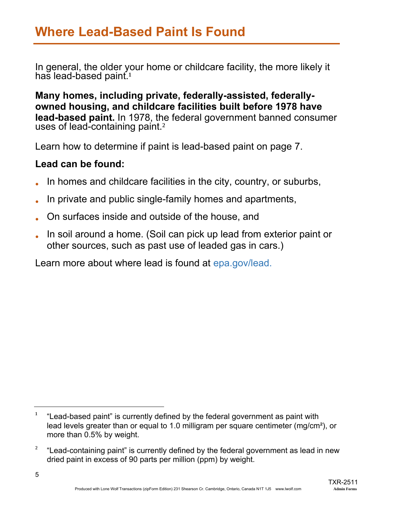In general, the older your home or childcare facility, the more likely it has lead-based paint.<sup>1</sup>

Many homes, including private, federally-assisted, federallyowned housing, and childcare facilities built before 1978 have lead-based paint. In 1978, the federal government banned consumer uses of lead-containing paint.<sup>2</sup>

Learn how to determine if paint is lead-based paint on page 7.

#### Lead can be found:

- In homes and childcare facilities in the city, country, or suburbs,
- In private and public single-family homes and apartments,
- On surfaces inside and outside of the house, and
- In soil around a home. (Soil can pick up lead from exterior paint or other sources, such as past use of leaded gas in cars.)

Learn more about where lead is found at epa.gov/lead.

 $1$  "Lead-based paint" is currently defined by the federal government as paint with lead levels greater than or equal to 1.0 milligram per square centimeter (mg/cm²), or more than 0.5% by weight.

 $2^{\circ}$  "Lead-containing paint" is currently defined by the federal government as lead in new dried paint in excess of 90 parts per million (ppm) by weight.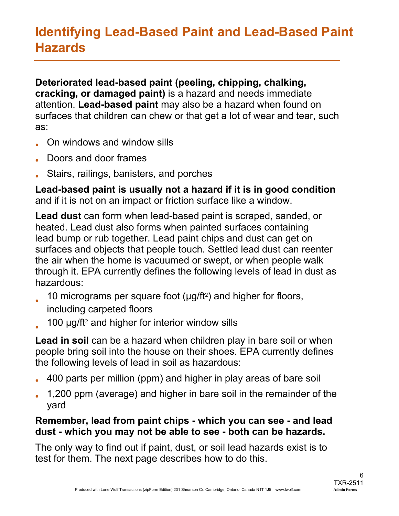# Identifying Lead-Based Paint and Lead-Based Paint Hazards

Deteriorated lead-based paint (peeling, chipping, chalking, cracking, or damaged paint) is a hazard and needs immediate attention. Lead-based paint may also be a hazard when found on surfaces that children can chew or that get a lot of wear and tear, such as:

- On windows and window sills
- Doors and door frames
- Stairs, railings, banisters, and porches

Lead-based paint is usually not a hazard if it is in good condition and if it is not on an impact or friction surface like a window.

Lead dust can form when lead-based paint is scraped, sanded, or heated. Lead dust also forms when painted surfaces containing lead bump or rub together. Lead paint chips and dust can get on surfaces and objects that people touch. Settled lead dust can reenter the air when the home is vacuumed or swept, or when people walk through it. EPA currently defines the following levels of lead in dust as hazardous:

- 10 micrograms per square foot (µg/ft²) and higher for floors,
	- including carpeted floors
- 100 µg/ft² and higher for interior window sills

Lead in soil can be a hazard when children play in bare soil or when people bring soil into the house on their shoes. EPA currently defines the following levels of lead in soil as hazardous:

- 400 parts per million (ppm) and higher in play areas of bare soil
- 1,200 ppm (average) and higher in bare soil in the remainder of the yard

#### Remember, lead from paint chips - which you can see - and lead dust - which you may not be able to see - both can be hazards.

The only way to find out if paint, dust, or soil lead hazards exist is to test for them. The next page describes how to do this.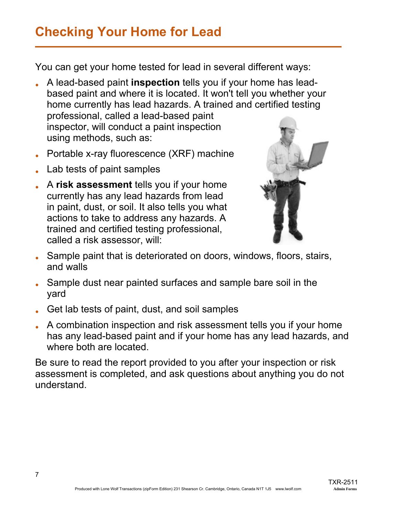# Checking Your Home for Lead

You can get your home tested for lead in several different ways:

- . A lead-based paint inspection tells you if your home has leadbased paint and where it is located. It won't tell you whether your home currently has lead hazards. A trained and certified testing professional, called a lead-based paint inspector, will conduct a paint inspection using methods, such as:
- $\bullet$  Portable x-ray fluorescence (XRF) machine
- Lab tests of paint samples
- A risk assessment tells you if your home currently has any lead hazards from lead in paint, dust, or soil. It also tells you what actions to take to address any hazards. A trained and certified testing professional, called a risk assessor, will:



- Sample paint that is deteriorated on doors, windows, floors, stairs, and walls
- Sample dust near painted surfaces and sample bare soil in the yard
- Get lab tests of paint, dust, and soil samples
- A combination inspection and risk assessment tells you if your home has any lead-based paint and if your home has any lead hazards, and where both are located.

Be sure to read the report provided to you after your inspection or risk assessment is completed, and ask questions about anything you do not understand.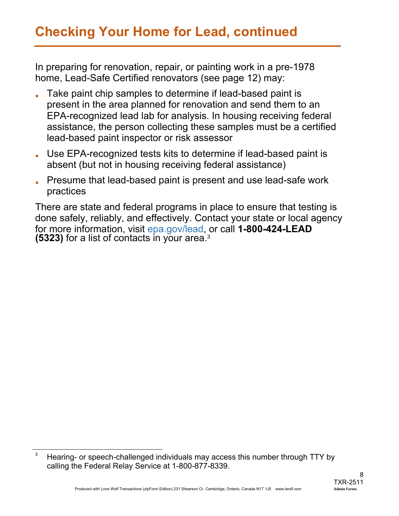In preparing for renovation, repair, or painting work in a pre-1978 home, Lead-Safe Certified renovators (see page 12) may:

- Take paint chip samples to determine if lead-based paint is present in the area planned for renovation and send them to an EPA-recognized lead lab for analysis. In housing receiving federal assistance, the person collecting these samples must be a certified lead-based paint inspector or risk assessor
- Use EPA-recognized tests kits to determine if lead-based paint is absent (but not in housing receiving federal assistance)
- . Presume that lead-based paint is present and use lead-safe work practices

There are state and federal programs in place to ensure that testing is done safely, reliably, and effectively. Contact your state or local agency for more information, visit epa.gov/lead, or call 1-800-424-LEAD (5323) for a list of contacts in your area.<sup>3</sup>

<sup>&</sup>lt;sup>3</sup> Hearing- or speech-challenged individuals may access this number through TTY by calling the Federal Relay Service at 1-800-877-8339.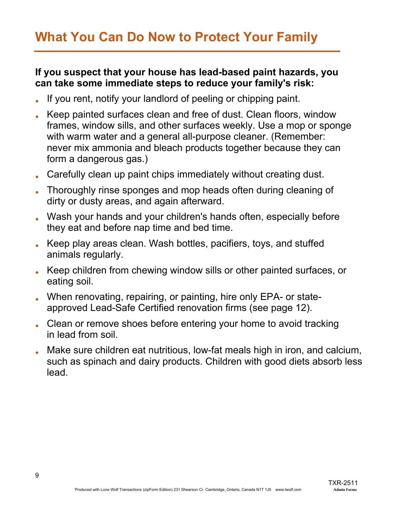# What You Can Do Now to Protect Your Family

#### If you suspect that your house has lead-based paint hazards, you can take some immediate steps to reduce your family's risk:

- If you rent, notify your landlord of peeling or chipping paint.
- Keep painted surfaces clean and free of dust. Clean floors, window frames, window sills, and other surfaces weekly. Use a mop or sponge with warm water and a general all-purpose cleaner. (Remember: never mix ammonia and bleach products together because they can form a dangerous gas.)
- . Carefully clean up paint chips immediately without creating dust.
- Thoroughly rinse sponges and mop heads often during cleaning of dirty or dusty areas, and again afterward.
- Wash your hands and your children's hands often, especially before they eat and before nap time and bed time.
- Keep play areas clean. Wash bottles, pacifiers, toys, and stuffed animals regularly.
- Keep children from chewing window sills or other painted surfaces, or eating soil.
- When renovating, repairing, or painting, hire only EPA- or stateapproved Lead-Safe Certified renovation firms (see page 12).
- Clean or remove shoes before entering your home to avoid tracking in lead from soil.
- Make sure children eat nutritious, low-fat meals high in iron, and calcium, such as spinach and dairy products. Children with good diets absorb less lead.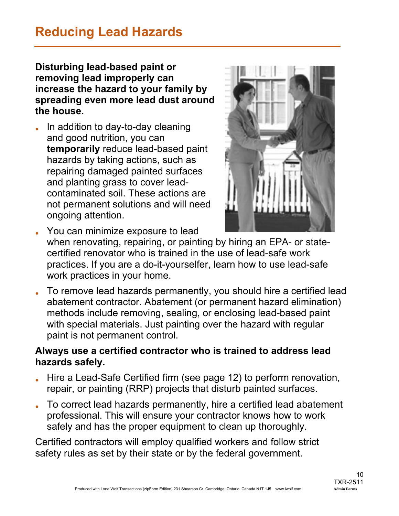# Reducing Lead Hazards

Disturbing lead-based paint or removing lead improperly can increase the hazard to your family by spreading even more lead dust around the house.

In addition to day-to-day cleaning and good nutrition, you can temporarily reduce lead-based paint hazards by taking actions, such as repairing damaged painted surfaces and planting grass to cover leadcontaminated soil. These actions are not permanent solutions and will need ongoing attention.



- You can minimize exposure to lead when renovating, repairing, or painting by hiring an EPA- or statecertified renovator who is trained in the use of lead-safe work practices. If you are a do-it-yourselfer, learn how to use lead-safe work practices in your home.
- To remove lead hazards permanently, you should hire a certified lead abatement contractor. Abatement (or permanent hazard elimination) methods include removing, sealing, or enclosing lead-based paint with special materials. Just painting over the hazard with regular paint is not permanent control.

#### Always use a certified contractor who is trained to address lead hazards safely.

- Hire a Lead-Safe Certified firm (see page 12) to perform renovation, repair, or painting (RRP) projects that disturb painted surfaces.
- To correct lead hazards permanently, hire a certified lead abatement professional. This will ensure your contractor knows how to work safely and has the proper equipment to clean up thoroughly.

Certified contractors will employ qualified workers and follow strict safety rules as set by their state or by the federal government.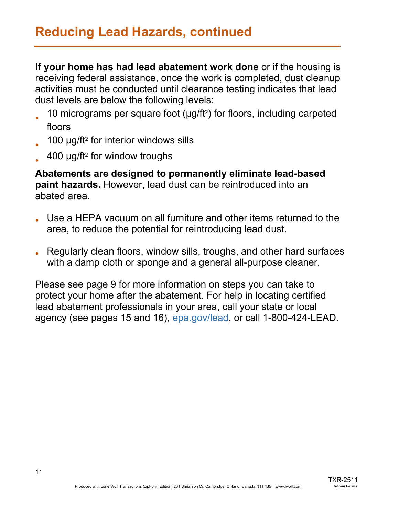If your home has had lead abatement work done or if the housing is receiving federal assistance, once the work is completed, dust cleanup activities must be conducted until clearance testing indicates that lead dust levels are below the following levels:

- 10 micrograms per square foot (µg/ft²) for floors, including carpeted floors
- 100 µg/ft<sup>2</sup> for interior windows sills
- 400 µg/ft² for window troughs

Abatements are designed to permanently eliminate lead-based paint hazards. However, lead dust can be reintroduced into an abated area.

- Use a HEPA vacuum on all furniture and other items returned to the area, to reduce the potential for reintroducing lead dust.
- Regularly clean floors, window sills, troughs, and other hard surfaces with a damp cloth or sponge and a general all-purpose cleaner.

Please see page 9 for more information on steps you can take to protect your home after the abatement. For help in locating certified lead abatement professionals in your area, call your state or local agency (see pages 15 and 16), epa.gov/lead, or call 1-800-424-LEAD.

TXR-2511<br>Admin Forms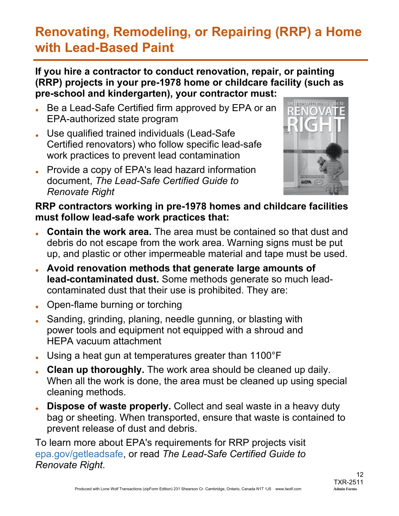# Renovating, Remodeling, or Repairing (RRP) a Home with Lead-Based Paint

#### If you hire a contractor to conduct renovation, repair, or painting (RRP) projects in your pre-1978 home or childcare facility (such as pre-school and kindergarten), your contractor must:

- Be a Lead-Safe Certified firm approved by EPA or an EPA-authorized state program
- . Use qualified trained individuals (Lead-Safe Certified renovators) who follow specific lead-safe work practices to prevent lead contamination
- Provide a copy of EPA's lead hazard information document, *The Lead-Safe Certified Guide to Renovate Right*



#### RRP contractors working in pre-1978 homes and childcare facilities must follow lead-safe work practices that:

- **Contain the work area.** The area must be contained so that dust and debris do not escape from the work area. Warning signs must be put up, and plastic or other impermeable material and tape must be used.
- Avoid renovation methods that generate large amounts of lead-contaminated dust. Some methods generate so much leadcontaminated dust that their use is prohibited. They are:
- Open-flame burning or torching
- Sanding, grinding, planing, needle gunning, or blasting with power tools and equipment not equipped with a shroud and HEPA vacuum attachment
- Using a heat gun at temperatures greater than  $1100^{\circ}F$
- . Clean up thoroughly. The work area should be cleaned up daily. When all the work is done, the area must be cleaned up using special cleaning methods.
- **Dispose of waste properly.** Collect and seal waste in a heavy duty bag or sheeting. When transported, ensure that waste is contained to prevent release of dust and debris.

To learn more about EPA's requirements for RRP projects visit epa.gov/getleadsafe, or read *The Lead-Safe Certified Guide to Renovate Right*.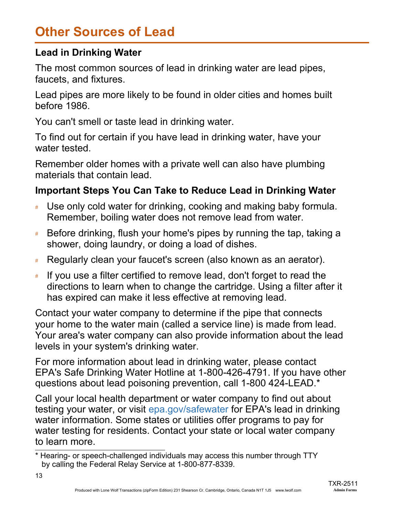# Other Sources of Lead

#### Lead in Drinking Water

The most common sources of lead in drinking water are lead pipes, faucets, and fixtures.

Lead pipes are more likely to be found in older cities and homes built before 1986.

You can't smell or taste lead in drinking water.

To find out for certain if you have lead in drinking water, have your water tested.

Remember older homes with a private well can also have plumbing materials that contain lead.

#### Important Steps You Can Take to Reduce Lead in Drinking Water

- # Use only cold water for drinking, cooking and making baby formula. Remember, boiling water does not remove lead from water.
- Before drinking, flush your home's pipes by running the tap, taking a shower, doing laundry, or doing a load of dishes.
- # Regularly clean your faucet's screen (also known as an aerator).
- # If you use a filter certified to remove lead, don't forget to read the directions to learn when to change the cartridge. Using a filter after it has expired can make it less effective at removing lead.

Contact your water company to determine if the pipe that connects your home to the water main (called a service line) is made from lead. Your area's water company can also provide information about the lead levels in your system's drinking water.

For more information about lead in drinking water, please contact EPA's Safe Drinking Water Hotline at 1-800-426-4791. If you have other questions about lead poisoning prevention, call 1-800 424-LEAD.\*

Call your local health department or water company to find out about testing your water, or visit epa.gov/safewater for EPA's lead in drinking water information. Some states or utilities offer programs to pay for water testing for residents. Contact your state or local water company to learn more.

<sup>\*</sup> Hearing- or speech-challenged individuals may access this number through TTY by calling the Federal Relay Service at 1-800-877-8339.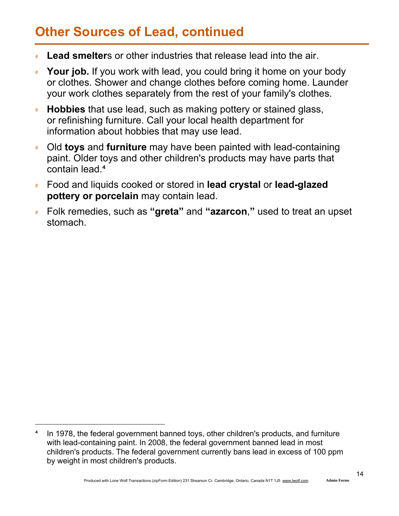# Other Sources of Lead, continued

- **Example 1** Lead smelters or other industries that release lead into the air.
- Your job. If you work with lead, you could bring it home on your body or clothes. Shower and change clothes before coming home. Launder your work clothes separately from the rest of your family's clothes.
- Hobbies that use lead, such as making pottery or stained glass, or refinishing furniture. Call your local health department for information about hobbies that may use lead.
- # Old toys and furniture may have been painted with lead-containing paint. Older toys and other children's products may have parts that contain lead.<sup>4</sup>
- # Food and liquids cooked or stored in lead crystal or lead-glazed pottery or porcelain may contain lead.
- **EXE** Folk remedies, such as "greta" and "azarcon," used to treat an upset stomach.

In 1978, the federal government banned toys, other children's products, and furniture with lead-containing paint. In 2008, the federal government banned lead in most children's products. The federal government currently bans lead in excess of 100 ppm by weight in most children's products.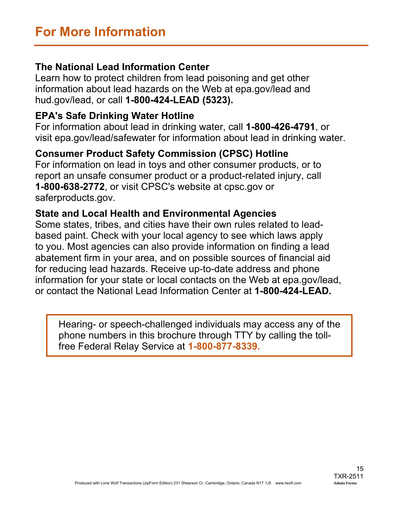#### The National Lead Information Center

Learn how to protect children from lead poisoning and get other information about lead hazards on the Web at epa.gov/lead and hud.gov/lead, or call 1-800-424-LEAD (5323).

#### EPA's Safe Drinking Water Hotline

For information about lead in drinking water, call 1-800-426-4791, or visit epa.gov/lead/safewater for information about lead in drinking water.

#### Consumer Product Safety Commission (CPSC) Hotline

For information on lead in toys and other consumer products, or to report an unsafe consumer product or a product-related injury, call 1-800-638-2772, or visit CPSC's website at cpsc.gov or saferproducts.gov.

#### State and Local Health and Environmental Agencies

Some states, tribes, and cities have their own rules related to leadbased paint. Check with your local agency to see which laws apply to you. Most agencies can also provide information on finding a lead abatement firm in your area, and on possible sources of financial aid for reducing lead hazards. Receive up-to-date address and phone information for your state or local contacts on the Web at epa.gov/lead, or contact the National Lead Information Center at 1-800-424-LEAD.

Hearing- or speech-challenged individuals may access any of the phone numbers in this brochure through TTY by calling the tollfree Federal Relay Service at 1-800-877-8339.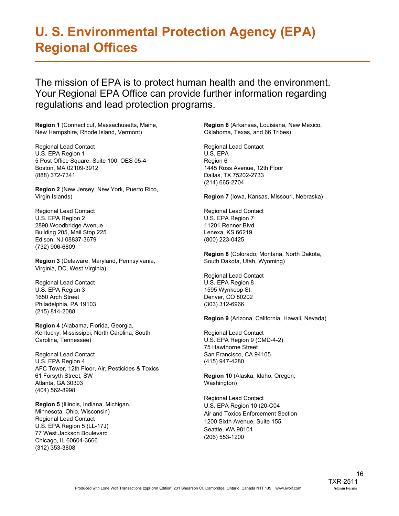# U. S. Environmental Protection Agency (EPA) Regional Offices

The mission of EPA is to protect human health and the environment. Your Regional EPA Office can provide further information regarding regulations and lead protection programs.

Region 1 (Connecticut, Massachusetts, Maine, New Hampshire, Rhode Island, Vermont)

Regional Lead Contact U.S. EPA Region 1 5 Post Office Square, Suite 100, OES 05-4 Boston, MA 02109-3912 (888) 372-7341

Region 2 (New Jersey, New York, Puerto Rico, Virgin Islands)

Regional Lead Contact U.S. EPA Region 2 2890 Woodbridge Avenue Building 205, Mail Stop 225 Edison, NJ 08837-3679 (732) 906-6809

Region 3 (Delaware, Maryland, Pennsylvania, Virginia, DC, West Virginia)

Regional Lead Contact U.S. EPA Region 3 1650 Arch Street Philadelphia, PA 19103 (215) 814-2088

Region 4 (Alabama, Florida, Georgia, Kentucky, Mississippi, North Carolina, South Carolina, Tennessee)

Regional Lead Contact U.S. EPA Region 4 AFC Tower, 12th Floor, Air, Pesticides & Toxics 61 Forsyth Street, SW Atlanta, GA 30303 (404) 562-8998

Region 5 (Illinois, Indiana, Michigan, Minnesota, Ohio, Wisconsin) Regional Lead Contact U.S. EPA Region 5 (LL-17J) 77 West Jackson Boulevard Chicago, IL 60604-3666 (312) 353-3808

Region 6 (Arkansas, Louisiana, New Mexico, Oklahoma, Texas, and 66 Tribes)

Regional Lead Contact U.S. EPA Region 6 1445 Ross Avenue, 12th Floor Dallas, TX 75202-2733 (214) 665-2704

Region 7 (Iowa, Kansas, Missouri, Nebraska)

Regional Lead Contact U.S. EPA Region 7 11201 Renner Blvd. Lenexa, KS 66219 (800) 223-0425

Region 8 (Colorado, Montana, North Dakota, South Dakota, Utah, Wyoming)

Regional Lead Contact U.S. EPA Region 8 1595 Wynkoop St. Denver, CO 80202 (303) 312-6966

Region 9 (Arizona, California, Hawaii, Nevada)

Regional Lead Contact U.S. EPA Region 9 (CMD-4-2) 75 Hawthorne Street San Francisco, CA 94105 (415) 947-4280

Region 10 (Alaska, Idaho, Oregon, Washington)

Regional Lead Contact U.S. EPA Region 10 (20-C04 Air and Toxics Enforcement Section 1200 Sixth Avenue, Suite 155 Seattle, WA 98101 (206) 553-1200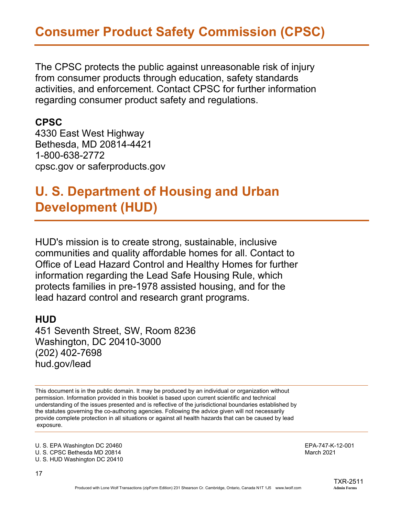The CPSC protects the public against unreasonable risk of injury from consumer products through education, safety standards activities, and enforcement. Contact CPSC for further information regarding consumer product safety and regulations.

#### CPSC

4330 East West Highway Bethesda, MD 20814-4421 1-800-638-2772 cpsc.gov or saferproducts.gov

### U. S. Department of Housing and Urban Development (HUD)

HUD's mission is to create strong, sustainable, inclusive communities and quality affordable homes for all. Contact to Office of Lead Hazard Control and Healthy Homes for further information regarding the Lead Safe Housing Rule, which protects families in pre-1978 assisted housing, and for the lead hazard control and research grant programs.

#### **HUD**

451 Seventh Street, SW, Room 8236 Washington, DC 20410-3000 (202) 402-7698 hud.gov/lead

This document is in the public domain. It may be produced by an individual or organization without permission. Information provided in this booklet is based upon current scientific and technical understanding of the issues presented and is reflective of the jurisdictional boundaries established by the statutes governing the co-authoring agencies. Following the advice given will not necessarily provide complete protection in all situations or against all health hazards that can be caused by lead exposure.

U. S. EPA Washington DC 20460 **EPA-747-K-12-001** EPA-747-K-12-001 U. S. CPSC Bethesda MD 20814 March 2021 U. S. HUD Washington DC 20410